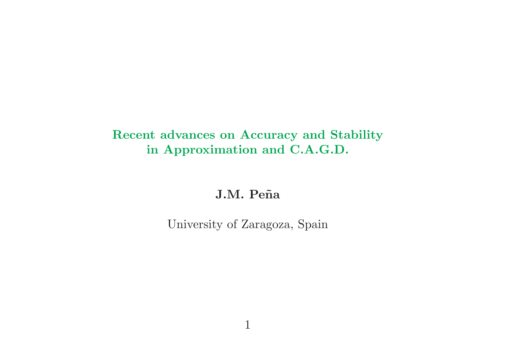## Recent advances on Accuracy and Stability in Approximation and C.A.G.D.

J.M. Peña

University of Zaragoza, Spain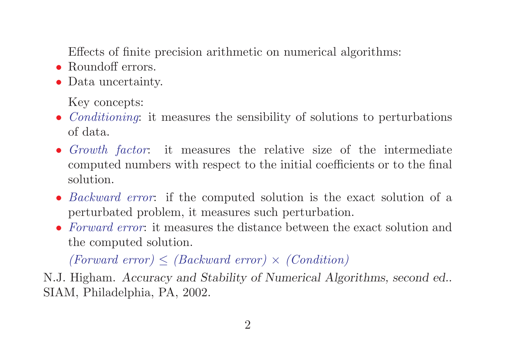Effects of finite precision arithmetic on numerical algorithms:

- Roundoff errors.
- Data uncertainty.

Key concepts:

- *Conditioning*: it measures the sensibility of solutions to perturbations of data.
- Growth factor: it measures the relative size of the intermediate computed numbers with respect to the initial coefficients or to the final solution.
- *Backward error*: if the computed solution is the exact solution of a perturbated problem, it measures such perturbation.
- Forward error: it measures the distance between the exact solution and the computed solution.

 $(Forward\ error) \leq (Backward\ error) \times (Condition)$ 

N.J. Higham. Accuracy and Stability of Numerical Algorithms, second ed.. SIAM, Philadelphia, PA, 2002.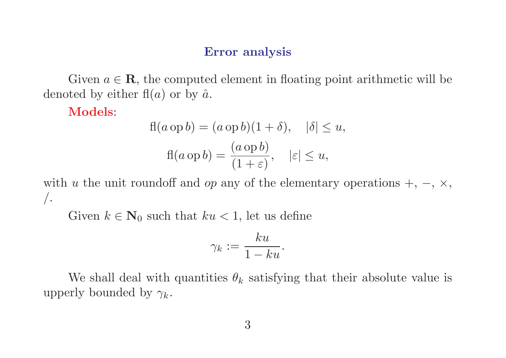### Error analysis

Given  $a \in \mathbf{R}$ , the computed element in floating point arithmetic will be denoted by either  $f(a)$  or by  $\hat{a}$ .

Models:

$$
fl(a op b) = (a op b)(1 + \delta), \quad |\delta| \le u,
$$

$$
fl(a op b) = \frac{(a op b)}{(1 + \varepsilon)}, \quad |\varepsilon| \le u,
$$

with u the unit roundoff and op any of the elementary operations  $+$ ,  $-$ ,  $\times$ ,  $\bigg)$ .

Given  $k \in \mathbb{N}_0$  such that  $ku < 1$ , let us define

$$
\gamma_k:=\frac{ku}{1-ku}.
$$

We shall deal with quantities  $\theta_k$  satisfying that their absolute value is upperly bounded by  $\gamma_k$ .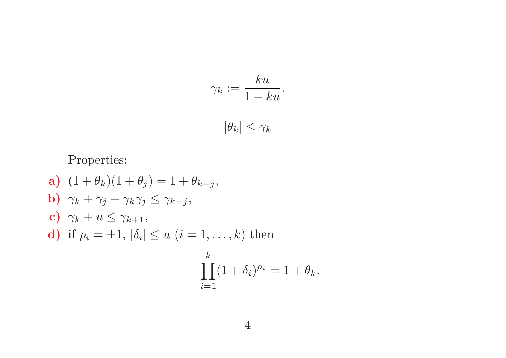$$
\gamma_k := \frac{ku}{1 - ku}.
$$

$$
|\theta_k| \le \gamma_k
$$

Properties:

**a)** 
$$
(1 + \theta_k)(1 + \theta_j) = 1 + \theta_{k+j}
$$
,  
\n**b)**  $\gamma_k + \gamma_j + \gamma_k \gamma_j \leq \gamma_{k+j}$ ,  
\n**c)**  $\gamma_k + u \leq \gamma_{k+1}$ ,  
\n**d)** if  $\rho_i = \pm 1$ ,  $|\delta_i| \leq u$   $(i = 1, ..., k)$  then  
\n
$$
\prod_{i=1}^k (1 + \delta_i)^{\rho_i} = 1 + \theta_k.
$$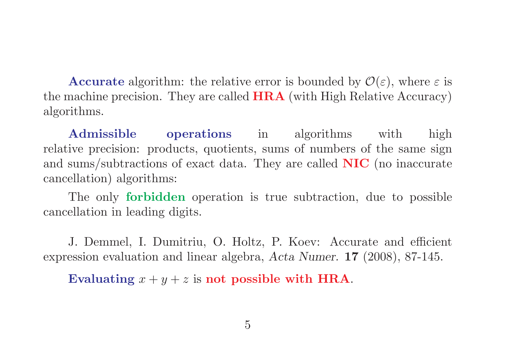**Accurate** algorithm: the relative error is bounded by  $\mathcal{O}(\varepsilon)$ , where  $\varepsilon$  is the machine precision. They are called HRA (with High Relative Accuracy) algorithms.

Admissible operations in algorithms with high relative precision: products, quotients, sums of numbers of the same sign and sums/subtractions of exact data. They are called NIC (no inaccurate cancellation) algorithms:

The only forbidden operation is true subtraction, due to possible cancellation in leading digits.

J. Demmel, I. Dumitriu, O. Holtz, P. Koev: Accurate and efficient expression evaluation and linear algebra, Acta Numer. 17 (2008), 87-145.

Evaluating  $x + y + z$  is not possible with HRA.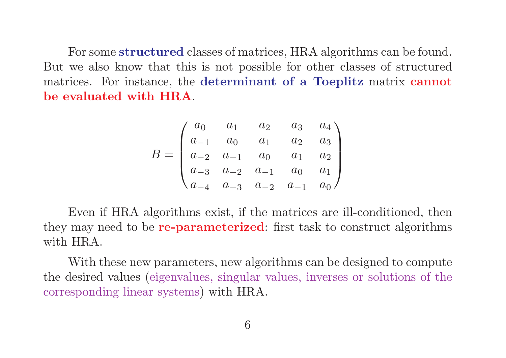For some structured classes of matrices, HRA algorithms can be found. But we also know that this is not possible for other classes of structured matrices. For instance, the determinant of a Toeplitz matrix cannot be evaluated with HRA.

$$
B = \begin{pmatrix} a_0 & a_1 & a_2 & a_3 & a_4 \\ a_{-1} & a_0 & a_1 & a_2 & a_3 \\ a_{-2} & a_{-1} & a_0 & a_1 & a_2 \\ a_{-3} & a_{-2} & a_{-1} & a_0 & a_1 \\ a_{-4} & a_{-3} & a_{-2} & a_{-1} & a_0 \end{pmatrix}
$$

Even if HRA algorithms exist, if the matrices are ill-conditioned, then they may need to be **re-parameterized**: first task to construct algorithms with HRA.

With these new parameters, new algorithms can be designed to compute the desired values (eigenvalues, singular values, inverses or solutions of the corresponding linear systems) with HRA.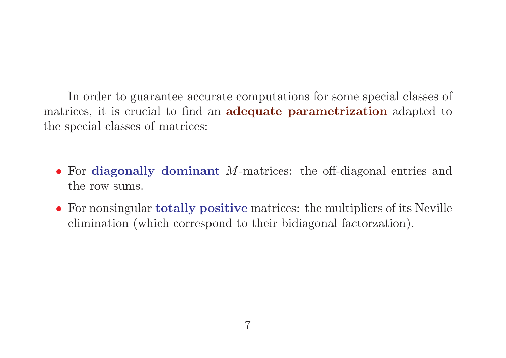In order to guarantee accurate computations for some special classes of matrices, it is crucial to find an **adequate parametrization** adapted to the special classes of matrices:

- For diagonally dominant *M*-matrices: the off-diagonal entries and the row sums.
- For nonsingular **totally positive** matrices: the multipliers of its Neville elimination (which correspond to their bidiagonal factorzation).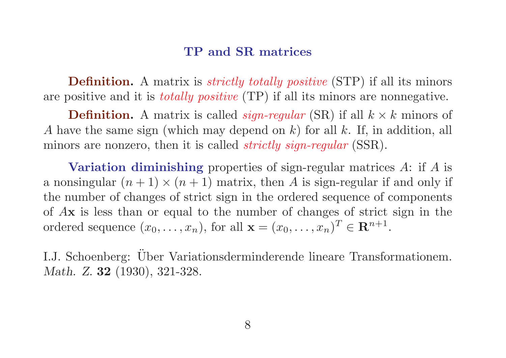### TP and SR matrices

**Definition.** A matrix is *strictly totally positive* (STP) if all its minors are positive and it is totally positive (TP) if all its minors are nonnegative.

**Definition.** A matrix is called *sign-regular* (SR) if all  $k \times k$  minors of A have the same sign (which may depend on k) for all k. If, in addition, all minors are nonzero, then it is called *strictly sign-regular* (SSR).

Variation diminishing properties of sign-regular matrices A: if A is a nonsingular  $(n + 1) \times (n + 1)$  matrix, then A is sign-regular if and only if the number of changes of strict sign in the ordered sequence of components of Ax is less than or equal to the number of changes of strict sign in the ordered sequence  $(x_0, \ldots, x_n)$ , for all  $\mathbf{x} = (x_0, \ldots, x_n)^T \in \mathbb{R}^{n+1}$ .

I.J. Schoenberg: Über Variationsderminderende lineare Transformationem. Math. Z. **32** (1930), 321-328.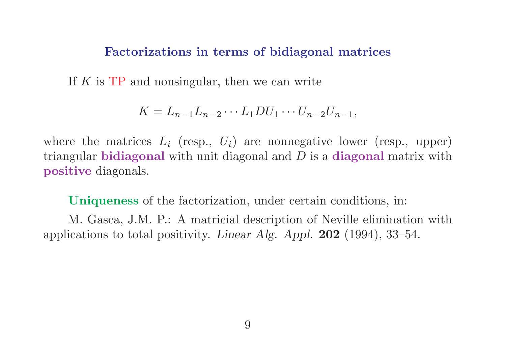#### Factorizations in terms of bidiagonal matrices

If  $K$  is  $TP$  and nonsingular, then we can write

$$
K=L_{n-1}L_{n-2}\cdots L_1DU_1\cdots U_{n-2}U_{n-1},
$$

where the matrices  $L_i$  (resp.,  $U_i$ ) are nonnegative lower (resp., upper) triangular **bidiagonal** with unit diagonal and  $D$  is a **diagonal** matrix with positive diagonals.

Uniqueness of the factorization, under certain conditions, in:

M. Gasca, J.M. P.: A matricial description of Neville elimination with applications to total positivity. Linear Alg. Appl. 202 (1994), 33–54.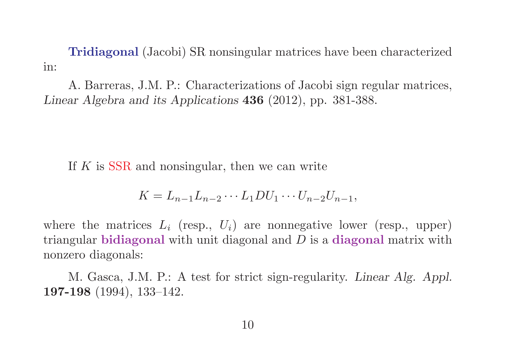Tridiagonal (Jacobi) SR nonsingular matrices have been characterized in:

A. Barreras, J.M. P.: Characterizations of Jacobi sign regular matrices, Linear Algebra and its Applications 436 (2012), pp. 381-388.

If K is SSR and nonsingular, then we can write

$$
K=L_{n-1}L_{n-2}\cdots L_1DU_1\cdots U_{n-2}U_{n-1},
$$

where the matrices  $L_i$  (resp.,  $U_i$ ) are nonnegative lower (resp., upper) triangular bidiagonal with unit diagonal and  $D$  is a diagonal matrix with nonzero diagonals:

M. Gasca, J.M. P.: A test for strict sign-regularity. Linear Alg. Appl. 197-198 (1994), 133–142.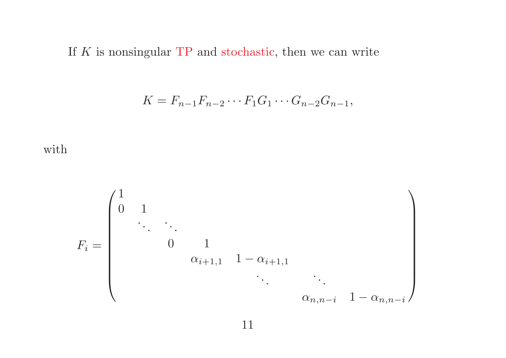If  $K$  is nonsingular TP and stochastic, then we can write

$$
K = F_{n-1}F_{n-2}\cdots F_1G_1\cdots G_{n-2}G_{n-1},
$$



F<sup>i</sup> = 1 0 1 . . . . . . 0 1 αi+1,<sup>1</sup> 1 − αi+1,<sup>1</sup> . . . . . . αn,n−<sup>i</sup> 1 − αn,n−<sup>i</sup>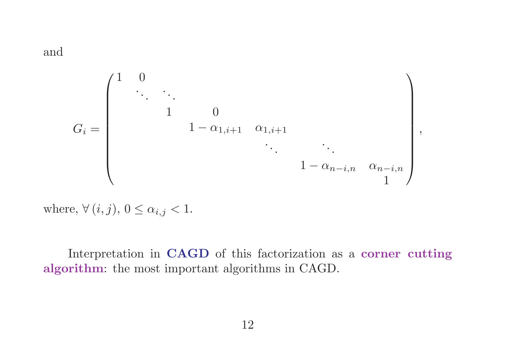and

G<sup>i</sup> = 1 0 . . . . . . 1 0 1 − α1,i+1 α1,i+1 . . . . . . 1 − αn−i,n αn−i,n 1 

,

where,  $\forall (i, j), 0 \leq \alpha_{i,j} < 1.$ 

Interpretation in CAGD of this factorization as a corner cutting algorithm: the most important algorithms in CAGD.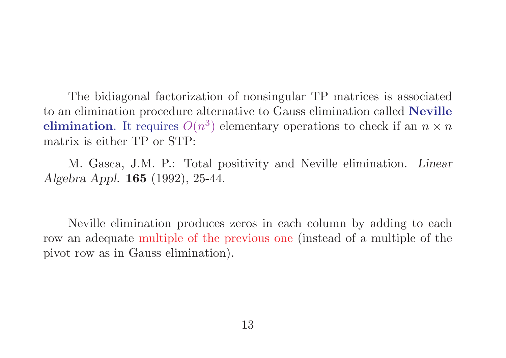The bidiagonal factorization of nonsingular TP matrices is associated to an elimination procedure alternative to Gauss elimination called Neville **elimination**. It requires  $O(n^3)$  elementary operations to check if an  $n \times n$ matrix is either TP or STP:

M. Gasca, J.M. P.: Total positivity and Neville elimination. Linear Algebra Appl. 165 (1992), 25-44.

Neville elimination produces zeros in each column by adding to each row an adequate multiple of the previous one (instead of a multiple of the pivot row as in Gauss elimination).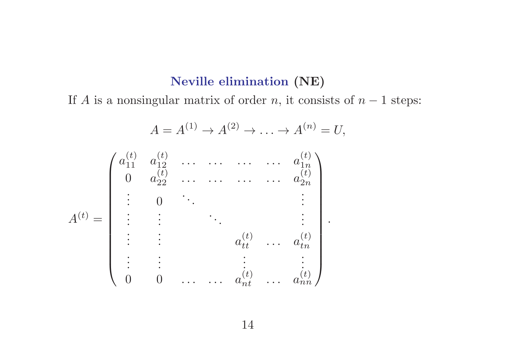## Neville elimination (NE)

If A is a nonsingular matrix of order n, it consists of  $n - 1$  steps:

$$
A = A^{(1)} \rightarrow A^{(2)} \rightarrow \dots \rightarrow A^{(n)} = U,
$$
  
\n
$$
A^{(t)} = \begin{pmatrix}\na_{11}^{(t)} & a_{12}^{(t)} & \cdots & \cdots & \cdots & a_{1n}^{(t)} \\
0 & a_{22}^{(t)} & \cdots & \cdots & \cdots & a_{2n}^{(t)} \\
\vdots & 0 & \ddots & & \vdots \\
\vdots & \vdots & & \ddots & & \vdots \\
\vdots & \vdots & & \ddots & & \vdots \\
\vdots & \vdots & & \vdots & \ddots & a_{tn}^{(t)} \\
\vdots & \vdots & & \ddots & & \vdots \\
0 & 0 & \cdots & \cdots & a_{nt}^{(t)} & \cdots & a_{nn}^{(t)}\n\end{pmatrix}.
$$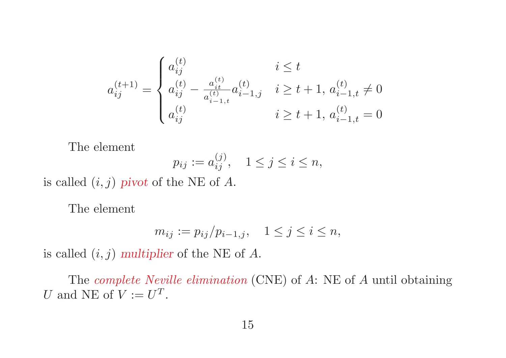$$
a_{ij}^{(t+1)} = \begin{cases} a_{ij}^{(t)} & i \leq t \\ a_{ij}^{(t)} - \frac{a_{it}^{(t)}}{a_{i-1,t}^{(t)}} a_{i-1,j}^{(t)} & i \geq t+1, a_{i-1,t}^{(t)} \neq 0 \\ a_{ij}^{(t)} & i \geq t+1, a_{i-1,t}^{(t)} = 0 \end{cases}
$$

The element

$$
p_{ij} := a_{ij}^{(j)}, \quad 1 \le j \le i \le n,
$$

is called  $(i, j)$  pivot of the NE of A.

The element

$$
m_{ij} := p_{ij}/p_{i-1,j}, \quad 1 \le j \le i \le n,
$$

is called  $(i, j)$  multiplier of the NE of A.

The complete Neville elimination (CNE) of A: NE of A until obtaining U and NE of  $V := U^T$ .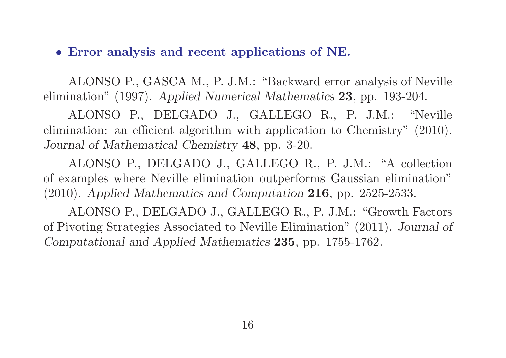## • Error analysis and recent applications of NE.

ALONSO P., GASCA M., P. J.M.: "Backward error analysis of Neville elimination" (1997). Applied Numerical Mathematics 23, pp. 193-204.

ALONSO P., DELGADO J., GALLEGO R., P. J.M.: "Neville elimination: an efficient algorithm with application to Chemistry" (2010). Journal of Mathematical Chemistry 48, pp. 3-20.

ALONSO P., DELGADO J., GALLEGO R., P. J.M.: "A collection of examples where Neville elimination outperforms Gaussian elimination" (2010). Applied Mathematics and Computation 216, pp. 2525-2533.

ALONSO P., DELGADO J., GALLEGO R., P. J.M.: "Growth Factors of Pivoting Strategies Associated to Neville Elimination" (2011). Journal of Computational and Applied Mathematics 235, pp. 1755-1762.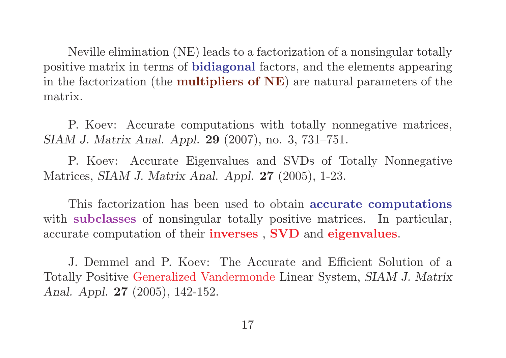Neville elimination (NE) leads to a factorization of a nonsingular totally positive matrix in terms of bidiagonal factors, and the elements appearing in the factorization (the **multipliers of NE**) are natural parameters of the matrix.

P. Koev: Accurate computations with totally nonnegative matrices, SIAM J. Matrix Anal. Appl. 29 (2007), no. 3, 731–751.

P. Koev: Accurate Eigenvalues and SVDs of Totally Nonnegative Matrices, SIAM J. Matrix Anal. Appl. 27 (2005), 1-23.

This factorization has been used to obtain accurate computations with **subclasses** of nonsingular totally positive matrices. In particular, accurate computation of their inverses , SVD and eigenvalues.

J. Demmel and P. Koev: The Accurate and Efficient Solution of a Totally Positive Generalized Vandermonde Linear System, SIAM J. Matrix Anal. Appl. 27 (2005), 142-152.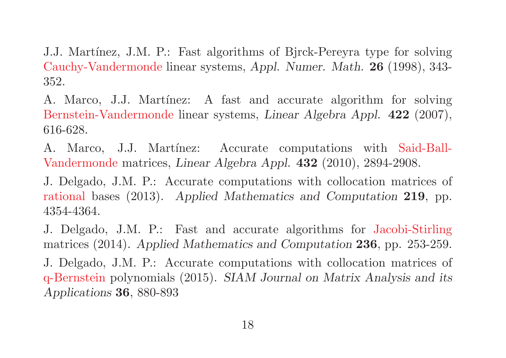J.J. Martínez, J.M. P.: Fast algorithms of Bjrck-Pereyra type for solving Cauchy-Vandermonde linear systems, Appl. Numer. Math. 26 (1998), 343- 352.

A. Marco, J.J. Martínez: A fast and accurate algorithm for solving Bernstein-Vandermonde linear systems, Linear Algebra Appl. 422 (2007), 616-628.

A. Marco, J.J. Martínez: Accurate computations with Said-Ball-Vandermonde matrices, Linear Algebra Appl. 432 (2010), 2894-2908.

J. Delgado, J.M. P.: Accurate computations with collocation matrices of rational bases (2013). Applied Mathematics and Computation 219, pp. 4354-4364.

J. Delgado, J.M. P.: Fast and accurate algorithms for Jacobi-Stirling matrices (2014). Applied Mathematics and Computation 236, pp. 253-259. J. Delgado, J.M. P.: Accurate computations with collocation matrices of q-Bernstein polynomials (2015). SIAM Journal on Matrix Analysis and its Applications 36, 880-893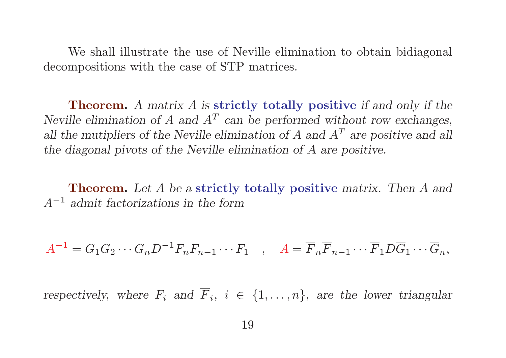We shall illustrate the use of Neville elimination to obtain bidiagonal decompositions with the case of STP matrices.

Theorem. A matrix A is strictly totally positive if and only if the Neville elimination of A and  $A<sup>T</sup>$  can be performed without row exchanges, all the mutipliers of the Neville elimination of A and  $A<sup>T</sup>$  are positive and all the diagonal pivots of the Neville elimination of A are positive.

Theorem. Let A be a strictly totally positive matrix. Then A and A<sup>−</sup><sup>1</sup> admit factorizations in the form

 $A^{-1} = G_1 G_2 \cdots G_n D^{-1} F_n F_{n-1} \cdots F_1$ ,  $A = \overline{F}_n \overline{F}_{n-1} \cdots \overline{F}_1 D \overline{G}_1 \cdots \overline{G}_n$ ,

respectively, where  $F_i$  and  $\overline{F}_i$ ,  $i \in \{1, ..., n\}$ , are the lower triangular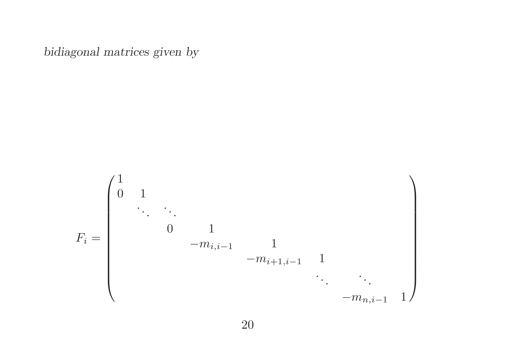bidiagonal matrices given by

$$
F_i=\begin{pmatrix}1&&&&&\\ 0&1&&&&&\\ &&\ddots&\ddots&&&\\ &&&0&1&\\ &&-m_{i,i-1}&1&\\ &&&&-m_{i+1,i-1}&1&\\ &&&&\ddots&\ddots&\\ &&&&&-m_{n,i-1}&1\end{pmatrix}
$$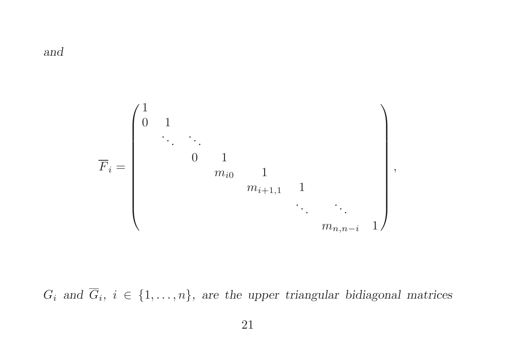and



 $G_i$  and  $G_i$ ,  $i \in \{1, \ldots, n\}$ , are the upper triangular bidiagonal matrices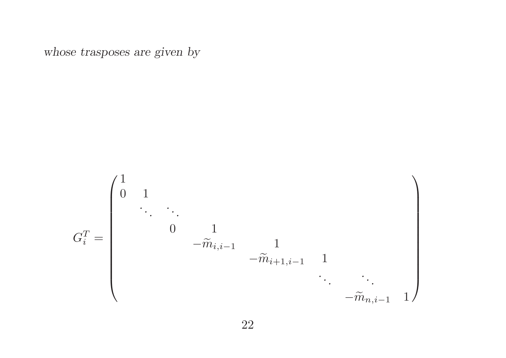whose trasposes are given by

G T i = 1 0 1 . . . . . . 0 1 <sup>−</sup>m<sup>e</sup> i,i−<sup>1</sup> 1 <sup>−</sup>m<sup>e</sup> <sup>i</sup>+1,i−<sup>1</sup> 1 . . . . . . <sup>−</sup>m<sup>e</sup> n,i−<sup>1</sup> 1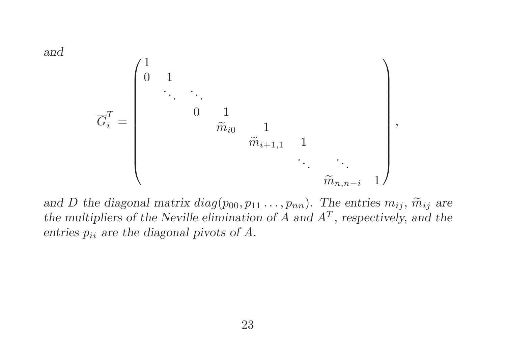and

G T i = 1 0 1 . . . . . . 0 1 me i0 1 <sup>m</sup><sup>e</sup> <sup>i</sup>+1,<sup>1</sup> 1 . . . . . . <sup>m</sup><sup>e</sup> n,n−<sup>i</sup> 1 ,

and D the diagonal matrix  $diag(p_{00}, p_{11}, \ldots, p_{nn})$ . The entries  $m_{ij}$ ,  $\widetilde{m}_{ij}$  are the multipliers of the Neville elimination of  $A$  and  $A<sup>T</sup>$ , respectively, and the entries  $p_{ii}$  are the diagonal pivots of A.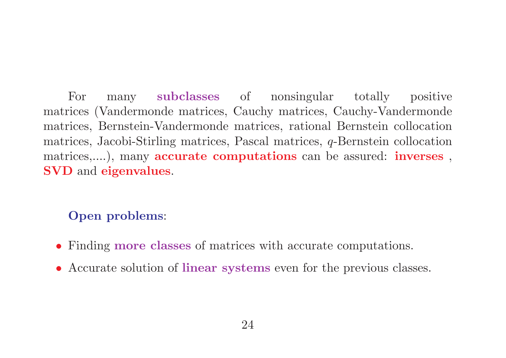For many subclasses of nonsingular totally positive matrices (Vandermonde matrices, Cauchy matrices, Cauchy-Vandermonde matrices, Bernstein-Vandermonde matrices, rational Bernstein collocation matrices, Jacobi-Stirling matrices, Pascal matrices, q-Bernstein collocation matrices,....), many **accurate computations** can be assured: **inverses**, SVD and eigenvalues.

# Open problems:

- Finding more classes of matrices with accurate computations.
- Accurate solution of linear systems even for the previous classes.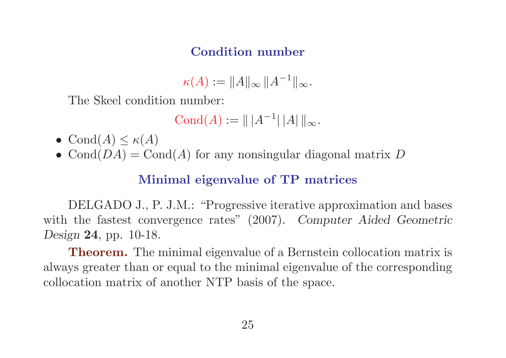# Condition number

$$
\kappa(A) := \|A\|_{\infty} \|A^{-1}\|_{\infty}.
$$

The Skeel condition number:

$$
Cond(A) := || |A^{-1}|| |A|| ||_{\infty}.
$$

- Cond $(A) \leq \kappa(A)$
- Cond $(DA)$  = Cond $(A)$  for any nonsingular diagonal matrix D

# Minimal eigenvalue of TP matrices

DELGADO J., P. J.M.: "Progressive iterative approximation and bases with the fastest convergence rates" (2007). Computer Aided Geometric Design 24, pp. 10-18.

**Theorem.** The minimal eigenvalue of a Bernstein collocation matrix is always greater than or equal to the minimal eigenvalue of the corresponding collocation matrix of another NTP basis of the space.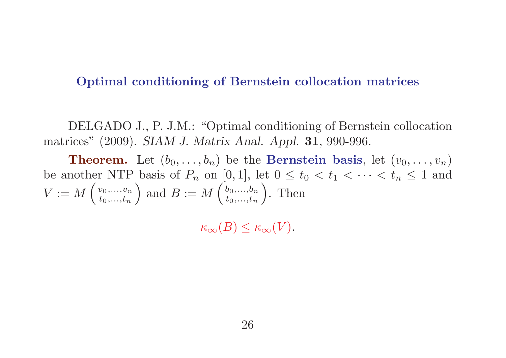## Optimal conditioning of Bernstein collocation matrices

DELGADO J., P. J.M.: "Optimal conditioning of Bernstein collocation matrices" (2009). SIAM J. Matrix Anal. Appl. 31, 990-996.

**Theorem.** Let  $(b_0, \ldots, b_n)$  be the **Bernstein basis**, let  $(v_0, \ldots, v_n)$ be another NTP basis of  $P_n$  on [0,1], let  $0 \le t_0 < t_1 < \cdots < t_n \le 1$  and  $V := M$  $\int v_0,...,v_n$  $t_0,...,t_n$  $\setminus$ and  $B := M$  $\int b_0,...,b_n$  $t_0,...,t_n$  $\setminus$ . Then

 $\kappa_{\infty}(B) \leq \kappa_{\infty}(V).$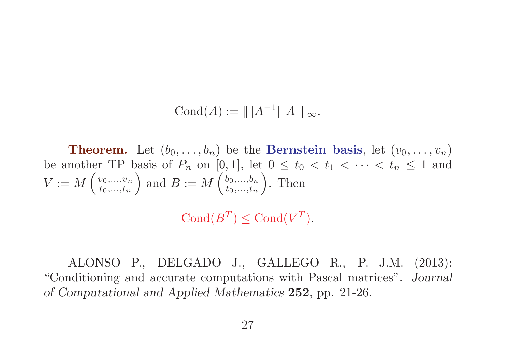Cond(A)  $:= || |A^{-1}|| ||A|| ||_{\infty}.$ 

**Theorem.** Let  $(b_0, \ldots, b_n)$  be the **Bernstein basis**, let  $(v_0, \ldots, v_n)$ be another TP basis of  $P_n$  on [0,1], let  $0 \le t_0 < t_1 < \cdots < t_n \le 1$  and  $V \mathrel{\mathop:}= M$  $\int v_0,...,v_n$  $t_0,...,t_n$  $\setminus$ and  $B := M$  $\int b_0,...,b_n$  $t_0,...,t_n$  $\setminus$ . Then

Cond $(B^T) \leq$ Cond $(V^T)$ .

ALONSO P., DELGADO J., GALLEGO R., P. J.M. (2013): "Conditioning and accurate computations with Pascal matrices". Journal of Computational and Applied Mathematics 252, pp. 21-26.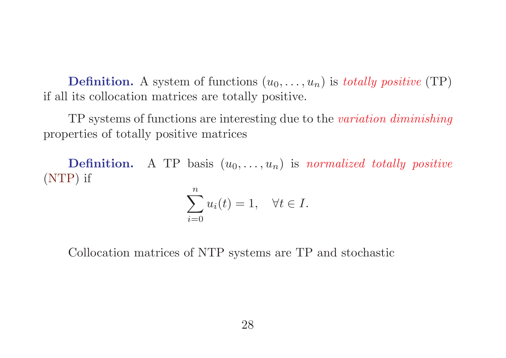**Definition.** A system of functions  $(u_0, \ldots, u_n)$  is *totally positive* (TP) if all its collocation matrices are totally positive.

TP systems of functions are interesting due to the variation diminishing properties of totally positive matrices

**Definition.** A TP basis  $(u_0, \ldots, u_n)$  is normalized totally positive (NTP) if

$$
\sum_{i=0}^{n} u_i(t) = 1, \quad \forall t \in I.
$$

Collocation matrices of NTP systems are TP and stochastic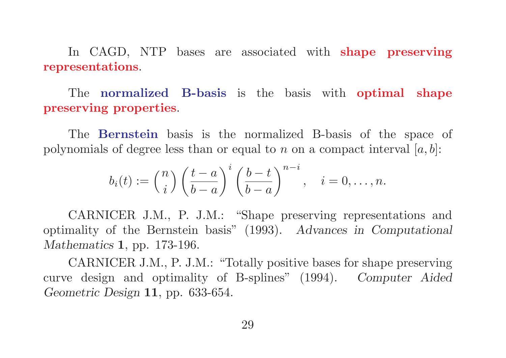In CAGD, NTP bases are associated with **shape preserving** representations.

The normalized B-basis is the basis with optimal shape preserving properties.

The Bernstein basis is the normalized B-basis of the space of polynomials of degree less than or equal to n on a compact interval  $[a, b]$ :

$$
b_i(t) := \binom{n}{i} \left(\frac{t-a}{b-a}\right)^i \left(\frac{b-t}{b-a}\right)^{n-i}, \quad i = 0, \dots, n.
$$

CARNICER J.M., P. J.M.: "Shape preserving representations and optimality of the Bernstein basis" (1993). Advances in Computational Mathematics 1, pp. 173-196.

CARNICER J.M., P. J.M.: "Totally positive bases for shape preserving curve design and optimality of B-splines" (1994). Computer Aided Geometric Design 11, pp. 633-654.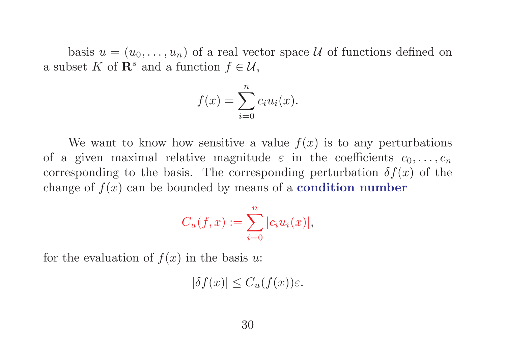basis  $u = (u_0, \ldots, u_n)$  of a real vector space U of functions defined on a subset K of  $\mathbf{R}^s$  and a function  $f \in \mathcal{U}$ ,

$$
f(x) = \sum_{i=0}^{n} c_i u_i(x).
$$

We want to know how sensitive a value  $f(x)$  is to any perturbations of a given maximal relative magnitude  $\varepsilon$  in the coefficients  $c_0, \ldots, c_n$ corresponding to the basis. The corresponding perturbation  $\delta f(x)$  of the change of  $f(x)$  can be bounded by means of a **condition number** 

$$
C_u(f, x) := \sum_{i=0}^n |c_i u_i(x)|,
$$

for the evaluation of  $f(x)$  in the basis u:

 $|\delta f(x)| \leq C_u(f(x))\varepsilon.$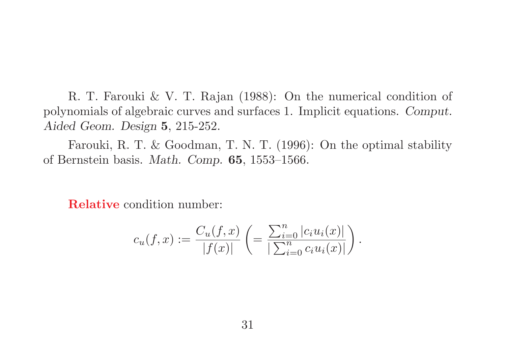R. T. Farouki & V. T. Rajan (1988): On the numerical condition of polynomials of algebraic curves and surfaces 1. Implicit equations. Comput. Aided Geom. Design 5, 215-252.

Farouki, R. T. & Goodman, T. N. T. (1996): On the optimal stability of Bernstein basis. Math. Comp. 65, 1553–1566.

Relative condition number:

$$
c_u(f,x) := \frac{C_u(f,x)}{|f(x)|} \left( = \frac{\sum_{i=0}^n |c_i u_i(x)|}{\sum_{i=0}^n c_i u_i(x)|} \right).
$$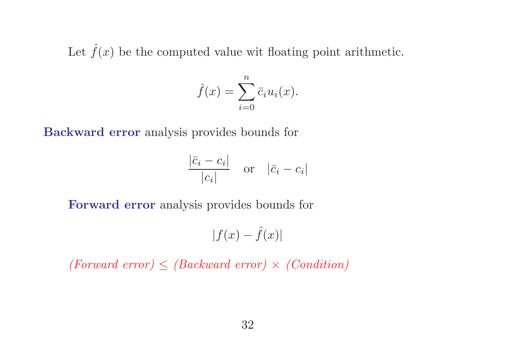Let  $\hat{f}(x)$  be the computed value wit floating point arithmetic.

$$
\hat{f}(x) = \sum_{i=0}^{n} \bar{c}_i u_i(x).
$$

Backward error analysis provides bounds for

$$
\frac{|\bar{c}_i - c_i|}{|c_i|} \quad \text{or} \quad |\bar{c}_i - c_i|
$$

Forward error analysis provides bounds for

$$
|f(x) - \hat{f}(x)|
$$

(Forward error)  $\leq$  (Backward error)  $\times$  (Condition)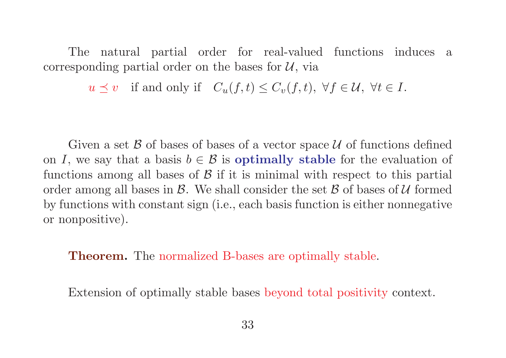The natural partial order for real-valued functions induces a corresponding partial order on the bases for  $\mathcal{U}$ , via

 $u \preceq v$  if and only if  $C_u(f, t) \leq C_v(f, t)$ ,  $\forall f \in \mathcal{U}$ ,  $\forall t \in I$ .

Given a set  $\beta$  of bases of bases of a vector space  $\mathcal U$  of functions defined on I, we say that a basis  $b \in \mathcal{B}$  is **optimally stable** for the evaluation of functions among all bases of  $\beta$  if it is minimal with respect to this partial order among all bases in  $\mathcal{B}$ . We shall consider the set  $\mathcal{B}$  of bases of  $\mathcal{U}$  formed by functions with constant sign (i.e., each basis function is either nonnegative or nonpositive).

**Theorem.** The normalized B-bases are optimally stable.

Extension of optimally stable bases beyond total positivity context.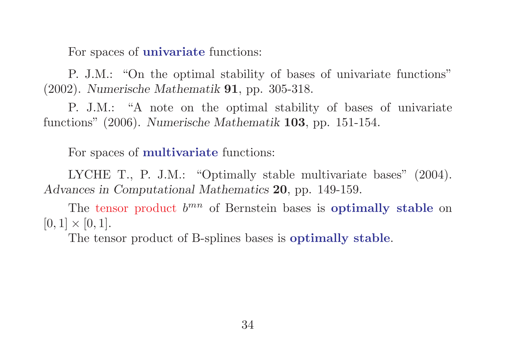For spaces of univariate functions:

P. J.M.: "On the optimal stability of bases of univariate functions" (2002). Numerische Mathematik 91, pp. 305-318.

P. J.M.: "A note on the optimal stability of bases of univariate functions" (2006). Numerische Mathematik 103, pp. 151-154.

For spaces of multivariate functions:

LYCHE T., P. J.M.: "Optimally stable multivariate bases" (2004). Advances in Computational Mathematics 20, pp. 149-159.

The tensor product  $b^{mn}$  of Bernstein bases is **optimally stable** on  $[0, 1] \times [0, 1].$ 

The tensor product of B-splines bases is optimally stable.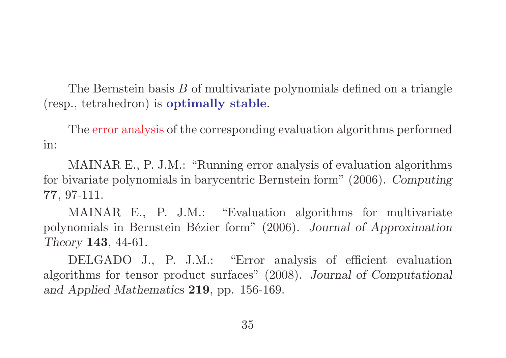The Bernstein basis B of multivariate polynomials defined on a triangle (resp., tetrahedron) is optimally stable.

The error analysis of the corresponding evaluation algorithms performed in:

MAINAR E., P. J.M.: "Running error analysis of evaluation algorithms for bivariate polynomials in barycentric Bernstein form" (2006). Computing 77, 97-111.

MAINAR E., P. J.M.: "Evaluation algorithms for multivariate polynomials in Bernstein Bézier form" (2006). Journal of Approximation Theory 143, 44-61.

DELGADO J., P. J.M.: "Error analysis of efficient evaluation algorithms for tensor product surfaces" (2008). Journal of Computational and Applied Mathematics 219, pp. 156-169.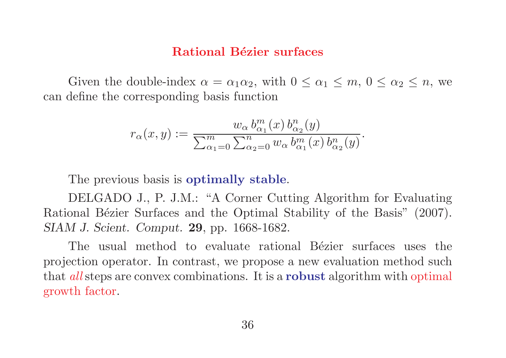### Rational Bézier surfaces

Given the double-index  $\alpha = \alpha_1 \alpha_2$ , with  $0 \leq \alpha_1 \leq m$ ,  $0 \leq \alpha_2 \leq n$ , we can define the corresponding basis function

$$
r_{\alpha}(x,y) := \frac{w_{\alpha} b_{\alpha_1}^m(x) b_{\alpha_2}^n(y)}{\sum_{\alpha_1=0}^m \sum_{\alpha_2=0}^n w_{\alpha} b_{\alpha_1}^m(x) b_{\alpha_2}^n(y)}.
$$

The previous basis is **optimally stable**.

DELGADO J., P. J.M.: "A Corner Cutting Algorithm for Evaluating Rational Bézier Surfaces and the Optimal Stability of the Basis" (2007). SIAM J. Scient. Comput. 29, pp. 1668-1682.

The usual method to evaluate rational Bézier surfaces uses the projection operator. In contrast, we propose a new evaluation method such that *all* steps are convex combinations. It is a **robust** algorithm with optimal growth factor.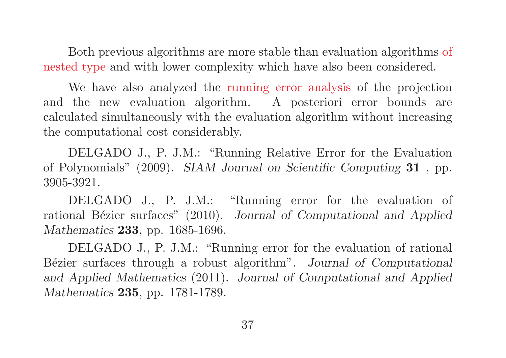Both previous algorithms are more stable than evaluation algorithms of nested type and with lower complexity which have also been considered.

We have also analyzed the running error analysis of the projection and the new evaluation algorithm. A posteriori error bounds are calculated simultaneously with the evaluation algorithm without increasing the computational cost considerably.

DELGADO J., P. J.M.: "Running Relative Error for the Evaluation of Polynomials" (2009). SIAM Journal on Scientific Computing 31 , pp. 3905-3921.

DELGADO J., P. J.M.: "Running error for the evaluation of rational Bézier surfaces" (2010). Journal of Computational and Applied Mathematics **233**, pp. 1685-1696.

DELGADO J., P. J.M.: "Running error for the evaluation of rational Bézier surfaces through a robust algorithm". Journal of Computational and Applied Mathematics (2011). Journal of Computational and Applied Mathematics **235**, pp. 1781-1789.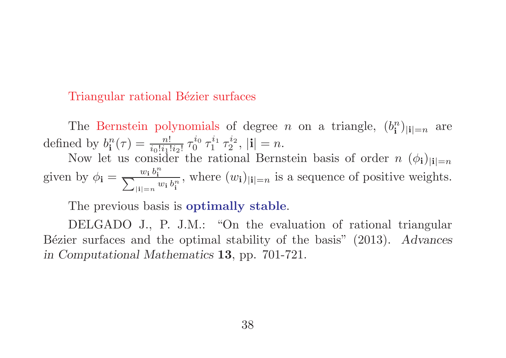### Triangular rational Bézier surfaces

The Bernstein polynomials of degree *n* on a triangle,  $(b_i^n)$  $\binom{n}{\mathbf{i}}|\mathbf{i}|$ =n are defined by  $b_i^n$  $\frac{n}{\textbf{i}}(\tau) = \frac{n!}{i_0!i_1!i_2!}\,\tau_0^{i_0}$  $\frac{i_0}{0}$   $\tau_1^{i_1}$  $\frac{i_1}{1}$   $\tau_2^{i_2}$  $\mathbf{1}_{2}^{2}, |\mathbf{i}| = n.$ Now let us consider the rational Bernstein basis of order  $n \ (\phi_i)_{i=1}$ 

given by  $\phi_{\mathbf{i}} = \frac{w_{\mathbf{i}} b_{\mathbf{i}}^n}{\sum_{i}}$  $\sum$ i  $|i|=n$   $w_i b_i^n$ i , where  $(w_i)_{|i|=n}$  is a sequence of positive weights.

The previous basis is **optimally stable**.

DELGADO J., P. J.M.: "On the evaluation of rational triangular Bézier surfaces and the optimal stability of the basis"  $(2013)$ . Advances in Computational Mathematics 13, pp. 701-721.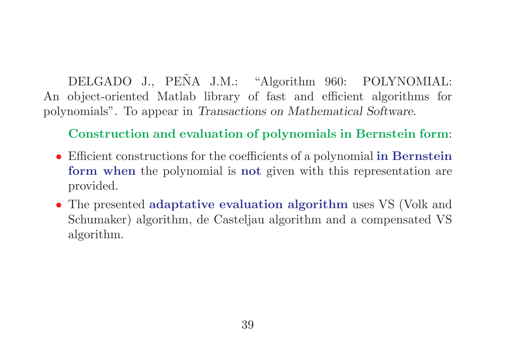DELGADO J., PEÑA J.M.: "Algorithm 960: POLYNOMIAL: An object-oriented Matlab library of fast and efficient algorithms for polynomials". To appear in Transactions on Mathematical Software.

Construction and evaluation of polynomials in Bernstein form:

- Efficient constructions for the coefficients of a polynomial in Bernstein form when the polynomial is not given with this representation are provided.
- The presented adaptative evaluation algorithm uses VS (Volk and Schumaker) algorithm, de Casteljau algorithm and a compensated VS algorithm.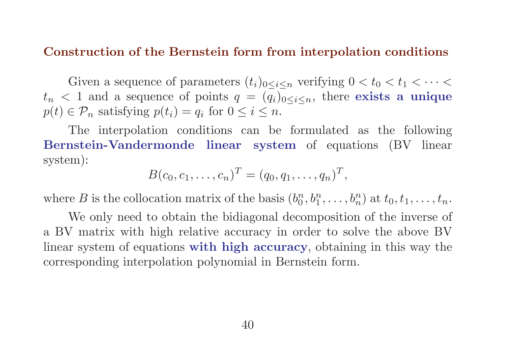#### Construction of the Bernstein form from interpolation conditions

Given a sequence of parameters  $(t_i)_{0 \leq i \leq n}$  verifying  $0 < t_0 < t_1 < \cdots <$  $t_n < 1$  and a sequence of points  $q = (q_i)_{0 \leq i \leq n}$ , there exists a unique  $p(t) \in \mathcal{P}_n$  satisfying  $p(t_i) = q_i$  for  $0 \le i \le n$ .

The interpolation conditions can be formulated as the following Bernstein-Vandermonde linear system of equations (BV linear system):

$$
B(c_0, c_1, \ldots, c_n)^T = (q_0, q_1, \ldots, q_n)^T,
$$

where B is the collocation matrix of the basis  $(b_0^n)$  $\binom{n}{0}, \binom{n}{1}, \ldots, \binom{n}{n}$  at  $t_0, t_1, \ldots, t_n$ .

We only need to obtain the bidiagonal decomposition of the inverse of a BV matrix with high relative accuracy in order to solve the above BV linear system of equations with high accuracy, obtaining in this way the corresponding interpolation polynomial in Bernstein form.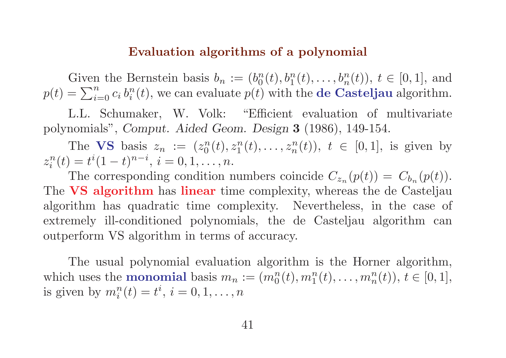#### Evaluation algorithms of a polynomial

Given the Bernstein basis  $b_n := (b_0^n)$  $_{0}^{n}(t), b_{1}^{n}(t), \ldots, b_{n}^{n}(t)$ ,  $t \in [0, 1]$ , and  $p(t) = \sum_{i=0}^{n} c_i b_i^n$  $i^n_i(t)$ , we can evaluate  $p(t)$  with the **de Casteljau** algorithm.

L.L. Schumaker, W. Volk: "Efficient evaluation of multivariate polynomials", Comput. Aided Geom. Design 3 (1986), 149-154.

The VS basis  $z_n := (z_0^n)$  $\binom{n}{0}(t), z_1^n(t), \ldots, z_n^n(t)$ ,  $t \in [0, 1]$ , is given by  $z_i^n$  $i_i^n(t) = t^i(1-t)^{n-i}, i = 0, 1, \ldots, n.$ 

The corresponding condition numbers coincide  $C_{z_n}(p(t)) = C_{b_n}(p(t))$ . The VS algorithm has linear time complexity, whereas the de Casteljau algorithm has quadratic time complexity. Nevertheless, in the case of extremely ill-conditioned polynomials, the de Casteljau algorithm can outperform VS algorithm in terms of accuracy.

The usual polynomial evaluation algorithm is the Horner algorithm, which uses the **monomial** basis  $m_n := (m_0^n(t), m_1^n(t), \ldots, m_n^n(t)), t \in [0, 1],$ is given by  $m_i^n(t) = t^i$ ,  $i = 0, 1, \ldots, n$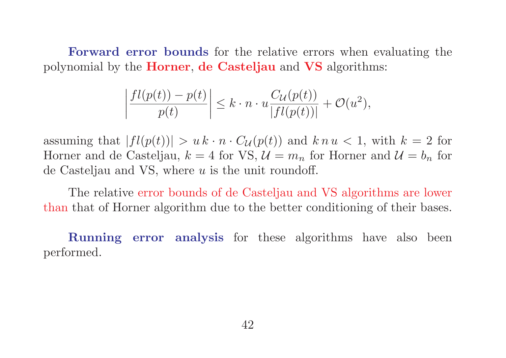Forward error bounds for the relative errors when evaluating the polynomial by the Horner, de Casteljau and VS algorithms:

$$
\left|\frac{fl(p(t))-p(t)}{p(t)}\right| \leq k \cdot n \cdot u \frac{C_{\mathcal{U}}(p(t))}{|fl(p(t))|} + \mathcal{O}(u^2),
$$

assuming that  $|f(p(t))| > u k \cdot n \cdot C_{\mathcal{U}}(p(t))$  and  $k n u < 1$ , with  $k = 2$  for Horner and de Casteljau,  $k = 4$  for VS,  $\mathcal{U} = m_n$  for Horner and  $\mathcal{U} = b_n$  for de Casteljau and VS, where  $u$  is the unit roundoff.

The relative error bounds of de Casteljau and VS algorithms are lower than that of Horner algorithm due to the better conditioning of their bases.

Running error analysis for these algorithms have also been performed.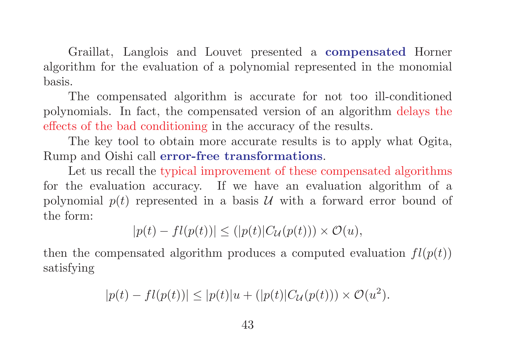Graillat, Langlois and Louvet presented a compensated Horner algorithm for the evaluation of a polynomial represented in the monomial basis.

The compensated algorithm is accurate for not too ill-conditioned polynomials. In fact, the compensated version of an algorithm delays the effects of the bad conditioning in the accuracy of the results.

The key tool to obtain more accurate results is to apply what Ogita, Rump and Oishi call error-free transformations.

Let us recall the typical improvement of these compensated algorithms for the evaluation accuracy. If we have an evaluation algorithm of a polynomial  $p(t)$  represented in a basis U with a forward error bound of the form:

$$
|p(t) - fl(p(t))| \le (|p(t)|C_{\mathcal{U}}(p(t))) \times \mathcal{O}(u),
$$

then the compensated algorithm produces a computed evaluation  $fl(p(t))$ satisfying

$$
|p(t) - fl(p(t))| \le |p(t)|u + (|p(t)|C_{\mathcal{U}}(p(t))) \times \mathcal{O}(u^2).
$$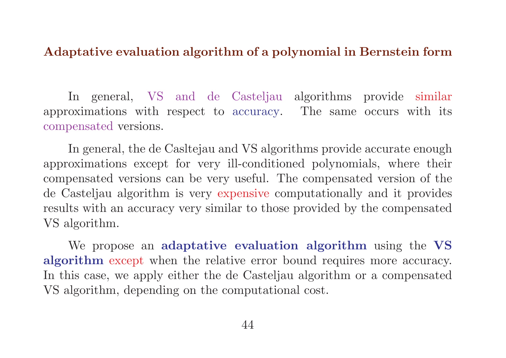### Adaptative evaluation algorithm of a polynomial in Bernstein form

In general, VS and de Casteljau algorithms provide similar approximations with respect to accuracy. The same occurs with its compensated versions.

In general, the de Casltejau and VS algorithms provide accurate enough approximations except for very ill-conditioned polynomials, where their compensated versions can be very useful. The compensated version of the de Casteljau algorithm is very expensive computationally and it provides results with an accuracy very similar to those provided by the compensated VS algorithm.

We propose an adaptative evaluation algorithm using the VS algorithm except when the relative error bound requires more accuracy. In this case, we apply either the de Casteljau algorithm or a compensated VS algorithm, depending on the computational cost.